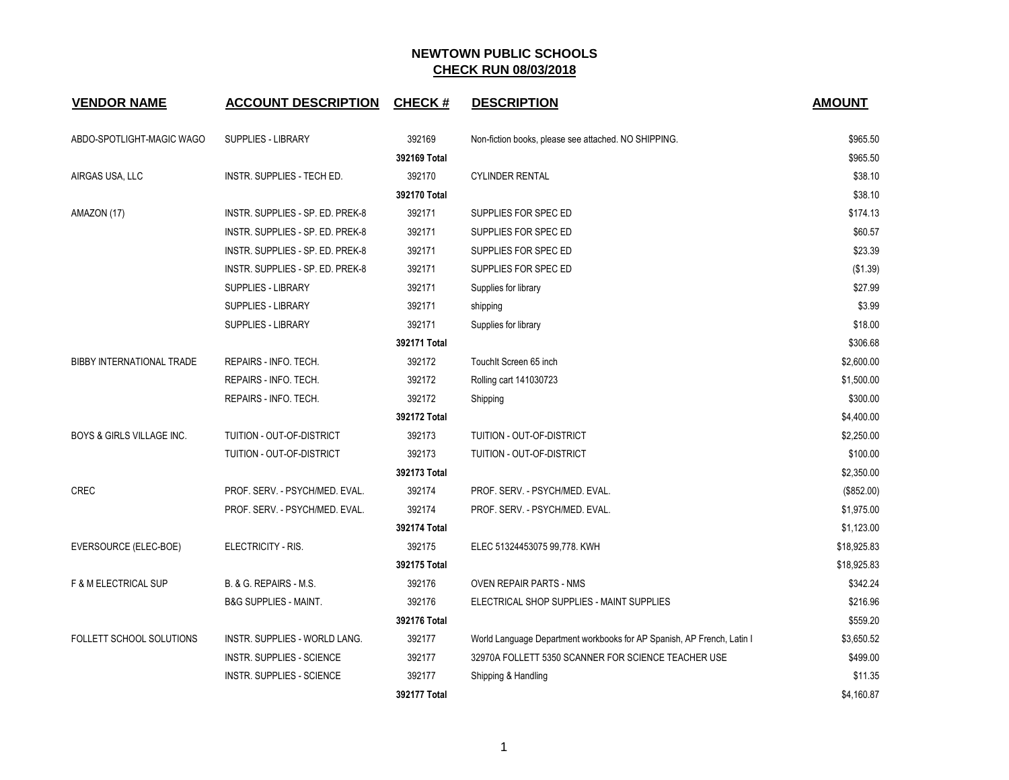## **NEWTOWN PUBLIC SCHOOLS CHECK RUN 08/03/2018**

| <b>VENDOR NAME</b>                   | <b>ACCOUNT DESCRIPTION</b>       | <b>CHECK#</b> | <b>DESCRIPTION</b>                                                     | <b>AMOUNT</b> |
|--------------------------------------|----------------------------------|---------------|------------------------------------------------------------------------|---------------|
| ABDO-SPOTLIGHT-MAGIC WAGO            | <b>SUPPLIES - LIBRARY</b>        | 392169        | Non-fiction books, please see attached. NO SHIPPING.                   | \$965.50      |
|                                      |                                  | 392169 Total  |                                                                        | \$965.50      |
| AIRGAS USA, LLC                      | INSTR. SUPPLIES - TECH ED.       | 392170        | <b>CYLINDER RENTAL</b>                                                 | \$38.10       |
|                                      |                                  | 392170 Total  |                                                                        | \$38.10       |
| AMAZON (17)                          | INSTR. SUPPLIES - SP. ED. PREK-8 | 392171        | SUPPLIES FOR SPEC ED                                                   | \$174.13      |
|                                      | INSTR. SUPPLIES - SP. ED. PREK-8 | 392171        | SUPPLIES FOR SPEC ED                                                   | \$60.57       |
|                                      | INSTR. SUPPLIES - SP. ED. PREK-8 | 392171        | SUPPLIES FOR SPEC ED                                                   | \$23.39       |
|                                      | INSTR. SUPPLIES - SP. ED. PREK-8 | 392171        | SUPPLIES FOR SPEC ED                                                   | (\$1.39)      |
|                                      | <b>SUPPLIES - LIBRARY</b>        | 392171        | Supplies for library                                                   | \$27.99       |
|                                      | SUPPLIES - LIBRARY               | 392171        | shipping                                                               | \$3.99        |
|                                      | <b>SUPPLIES - LIBRARY</b>        | 392171        | Supplies for library                                                   | \$18.00       |
|                                      |                                  | 392171 Total  |                                                                        | \$306.68      |
| BIBBY INTERNATIONAL TRADE            | REPAIRS - INFO. TECH.            | 392172        | TouchIt Screen 65 inch                                                 | \$2,600.00    |
|                                      | REPAIRS - INFO. TECH.            | 392172        | Rolling cart 141030723                                                 | \$1,500.00    |
|                                      | REPAIRS - INFO. TECH.            | 392172        | Shipping                                                               | \$300.00      |
|                                      |                                  | 392172 Total  |                                                                        | \$4,400.00    |
| <b>BOYS &amp; GIRLS VILLAGE INC.</b> | TUITION - OUT-OF-DISTRICT        | 392173        | TUITION - OUT-OF-DISTRICT                                              | \$2,250.00    |
|                                      | TUITION - OUT-OF-DISTRICT        | 392173        | TUITION - OUT-OF-DISTRICT                                              | \$100.00      |
|                                      |                                  | 392173 Total  |                                                                        | \$2,350.00    |
| <b>CREC</b>                          | PROF. SERV. - PSYCH/MED. EVAL.   | 392174        | PROF. SERV. - PSYCH/MED. EVAL.                                         | (\$852.00)    |
|                                      | PROF. SERV. - PSYCH/MED. EVAL.   | 392174        | PROF. SERV. - PSYCH/MED. EVAL.                                         | \$1,975.00    |
|                                      |                                  | 392174 Total  |                                                                        | \$1,123.00    |
| EVERSOURCE (ELEC-BOE)                | ELECTRICITY - RIS.               | 392175        | ELEC 51324453075 99,778. KWH                                           | \$18,925.83   |
|                                      |                                  | 392175 Total  |                                                                        | \$18,925.83   |
| F & M ELECTRICAL SUP                 | B. & G. REPAIRS - M.S.           | 392176        | <b>OVEN REPAIR PARTS - NMS</b>                                         | \$342.24      |
|                                      | <b>B&amp;G SUPPLIES - MAINT.</b> | 392176        | ELECTRICAL SHOP SUPPLIES - MAINT SUPPLIES                              | \$216.96      |
|                                      |                                  | 392176 Total  |                                                                        | \$559.20      |
| FOLLETT SCHOOL SOLUTIONS             | INSTR. SUPPLIES - WORLD LANG.    | 392177        | World Language Department workbooks for AP Spanish, AP French, Latin I | \$3,650.52    |
|                                      | INSTR. SUPPLIES - SCIENCE        | 392177        | 32970A FOLLETT 5350 SCANNER FOR SCIENCE TEACHER USE                    | \$499.00      |
|                                      | INSTR. SUPPLIES - SCIENCE        | 392177        | Shipping & Handling                                                    | \$11.35       |
|                                      |                                  | 392177 Total  |                                                                        | \$4,160.87    |